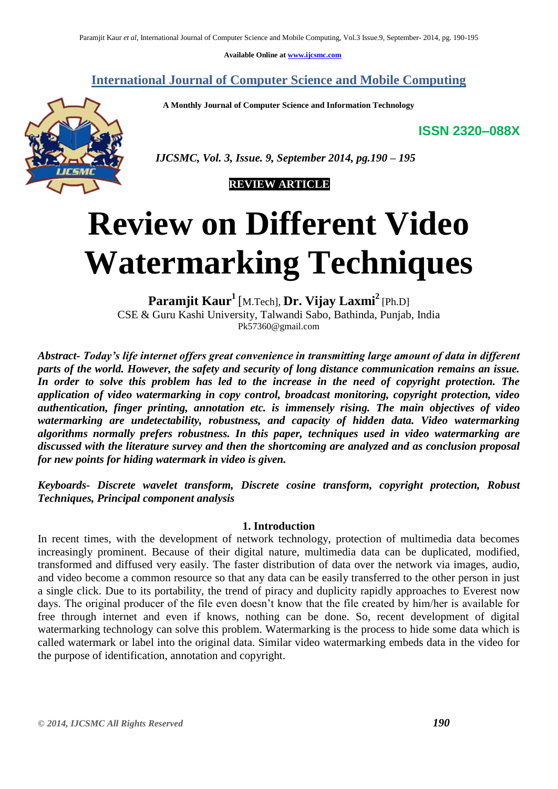**Available Online at [www.ijcsmc.com](http://www.ijcsmc.com/)**

**International Journal of Computer Science and Mobile Computing**

 **A Monthly Journal of Computer Science and Information Technology**

**ISSN 2320–088X**



 *IJCSMC, Vol. 3, Issue. 9, September 2014, pg.190 – 195*



# **Review on Different Video Watermarking Techniques**

**Paramjit Kaur<sup>1</sup>** [M.Tech], **Dr. Vijay Laxmi<sup>2</sup>** [Ph.D] CSE & Guru Kashi University, Talwandi Sabo, Bathinda, Punjab, India Pk57360@gmail.com

*Abstract- Today's life internet offers great convenience in transmitting large amount of data in different parts of the world. However, the safety and security of long distance communication remains an issue. In order to solve this problem has led to the increase in the need of copyright protection. The application of video watermarking in copy control, broadcast monitoring, copyright protection, video authentication, finger printing, annotation etc. is immensely rising. The main objectives of video watermarking are undetectability, robustness, and capacity of hidden data. Video watermarking algorithms normally prefers robustness. In this paper, techniques used in video watermarking are discussed with the literature survey and then the shortcoming are analyzed and as conclusion proposal for new points for hiding watermark in video is given.*

*Keyboards- Discrete wavelet transform, Discrete cosine transform, copyright protection, Robust Techniques, Principal component analysis*

# **1. Introduction**

In recent times, with the development of network technology, protection of multimedia data becomes increasingly prominent. Because of their digital nature, multimedia data can be duplicated, modified, transformed and diffused very easily. The faster distribution of data over the network via images, audio, and video become a common resource so that any data can be easily transferred to the other person in just a single click. Due to its portability, the trend of piracy and duplicity rapidly approaches to Everest now days. The original producer of the file even doesn't know that the file created by him/her is available for free through internet and even if knows, nothing can be done. So, recent development of digital watermarking technology can solve this problem. Watermarking is the process to hide some data which is called watermark or label into the original data. Similar video watermarking embeds data in the video for the purpose of identification, annotation and copyright.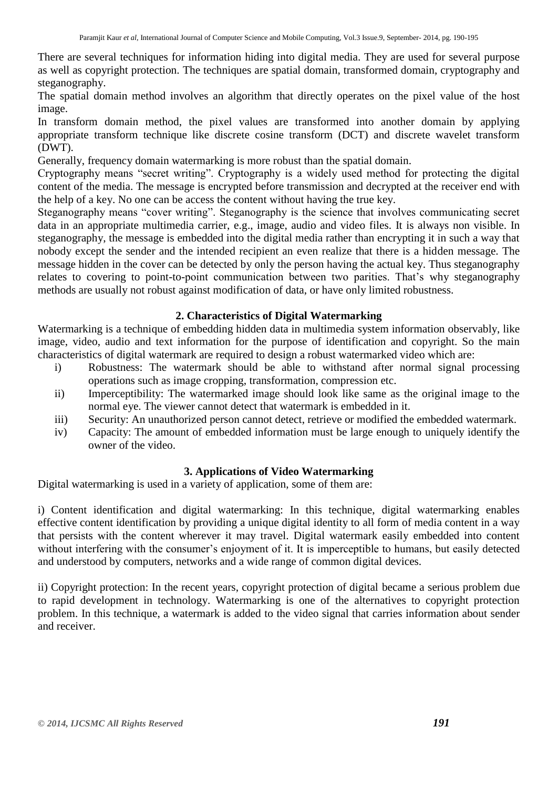There are several techniques for information hiding into digital media. They are used for several purpose as well as copyright protection. The techniques are spatial domain, transformed domain, cryptography and steganography.

The spatial domain method involves an algorithm that directly operates on the pixel value of the host image.

In transform domain method, the pixel values are transformed into another domain by applying appropriate transform technique like discrete cosine transform (DCT) and discrete wavelet transform (DWT).

Generally, frequency domain watermarking is more robust than the spatial domain.

Cryptography means "secret writing". Cryptography is a widely used method for protecting the digital content of the media. The message is encrypted before transmission and decrypted at the receiver end with the help of a key. No one can be access the content without having the true key.

Steganography means "cover writing". Steganography is the science that involves communicating secret data in an appropriate multimedia carrier, e.g., image, audio and video files. It is always non visible. In steganography, the message is embedded into the digital media rather than encrypting it in such a way that nobody except the sender and the intended recipient an even realize that there is a hidden message. The message hidden in the cover can be detected by only the person having the actual key. Thus steganography relates to covering to point-to-point communication between two parities. That's why steganography methods are usually not robust against modification of data, or have only limited robustness.

# **2. Characteristics of Digital Watermarking**

Watermarking is a technique of embedding hidden data in multimedia system information observably, like image, video, audio and text information for the purpose of identification and copyright. So the main characteristics of digital watermark are required to design a robust watermarked video which are:

- i) Robustness: The watermark should be able to withstand after normal signal processing operations such as image cropping, transformation, compression etc.
- ii) Imperceptibility: The watermarked image should look like same as the original image to the normal eye. The viewer cannot detect that watermark is embedded in it.
- iii) Security: An unauthorized person cannot detect, retrieve or modified the embedded watermark.
- iv) Capacity: The amount of embedded information must be large enough to uniquely identify the owner of the video.

# **3. Applications of Video Watermarking**

Digital watermarking is used in a variety of application, some of them are:

i) Content identification and digital watermarking: In this technique, digital watermarking enables effective content identification by providing a unique digital identity to all form of media content in a way that persists with the content wherever it may travel. Digital watermark easily embedded into content without interfering with the consumer's enjoyment of it. It is imperceptible to humans, but easily detected and understood by computers, networks and a wide range of common digital devices.

ii) Copyright protection: In the recent years, copyright protection of digital became a serious problem due to rapid development in technology. Watermarking is one of the alternatives to copyright protection problem. In this technique, a watermark is added to the video signal that carries information about sender and receiver.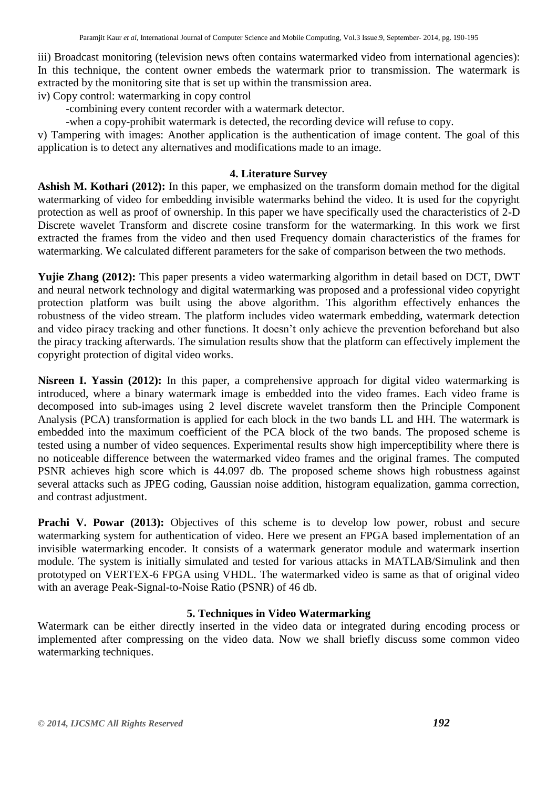iii) Broadcast monitoring (television news often contains watermarked video from international agencies): In this technique, the content owner embeds the watermark prior to transmission. The watermark is extracted by the monitoring site that is set up within the transmission area.

iv) Copy control: watermarking in copy control

-combining every content recorder with a watermark detector.

-when a copy-prohibit watermark is detected, the recording device will refuse to copy.

v) Tampering with images: Another application is the authentication of image content. The goal of this application is to detect any alternatives and modifications made to an image.

#### **4. Literature Survey**

**Ashish M. Kothari (2012):** In this paper, we emphasized on the transform domain method for the digital watermarking of video for embedding invisible watermarks behind the video. It is used for the copyright protection as well as proof of ownership. In this paper we have specifically used the characteristics of 2-D Discrete wavelet Transform and discrete cosine transform for the watermarking. In this work we first extracted the frames from the video and then used Frequency domain characteristics of the frames for watermarking. We calculated different parameters for the sake of comparison between the two methods.

**Yujie Zhang (2012):** This paper presents a video watermarking algorithm in detail based on DCT, DWT and neural network technology and digital watermarking was proposed and a professional video copyright protection platform was built using the above algorithm. This algorithm effectively enhances the robustness of the video stream. The platform includes video watermark embedding, watermark detection and video piracy tracking and other functions. It doesn't only achieve the prevention beforehand but also the piracy tracking afterwards. The simulation results show that the platform can effectively implement the copyright protection of digital video works.

**Nisreen I. Yassin (2012):** In this paper, a comprehensive approach for digital video watermarking is introduced, where a binary watermark image is embedded into the video frames. Each video frame is decomposed into sub-images using 2 level discrete wavelet transform then the Principle Component Analysis (PCA) transformation is applied for each block in the two bands LL and HH. The watermark is embedded into the maximum coefficient of the PCA block of the two bands. The proposed scheme is tested using a number of video sequences. Experimental results show high imperceptibility where there is no noticeable difference between the watermarked video frames and the original frames. The computed PSNR achieves high score which is 44.097 db. The proposed scheme shows high robustness against several attacks such as JPEG coding, Gaussian noise addition, histogram equalization, gamma correction, and contrast adjustment.

**Prachi V. Powar (2013):** Objectives of this scheme is to develop low power, robust and secure watermarking system for authentication of video. Here we present an FPGA based implementation of an invisible watermarking encoder. It consists of a watermark generator module and watermark insertion module. The system is initially simulated and tested for various attacks in MATLAB/Simulink and then prototyped on VERTEX-6 FPGA using VHDL. The watermarked video is same as that of original video with an average Peak-Signal-to-Noise Ratio (PSNR) of 46 db.

# **5. Techniques in Video Watermarking**

Watermark can be either directly inserted in the video data or integrated during encoding process or implemented after compressing on the video data. Now we shall briefly discuss some common video watermarking techniques.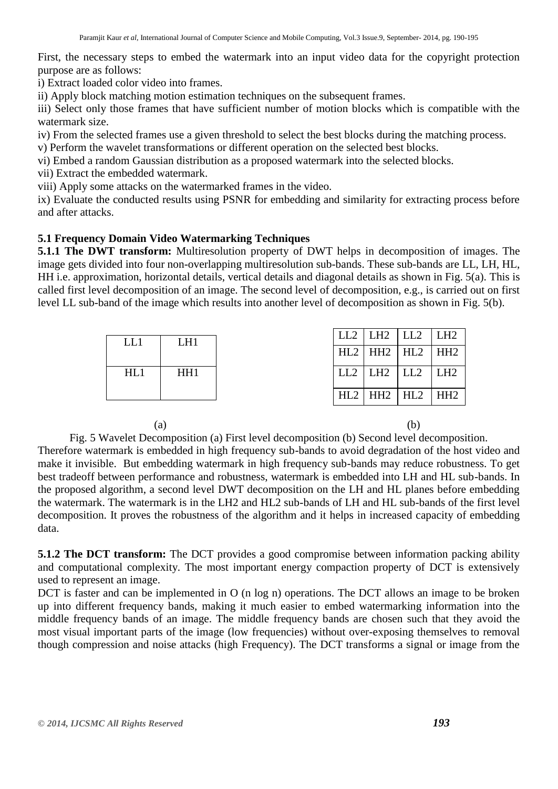First, the necessary steps to embed the watermark into an input video data for the copyright protection purpose are as follows:

i) Extract loaded color video into frames.

ii) Apply block matching motion estimation techniques on the subsequent frames.

iii) Select only those frames that have sufficient number of motion blocks which is compatible with the watermark size.

iv) From the selected frames use a given threshold to select the best blocks during the matching process.

v) Perform the wavelet transformations or different operation on the selected best blocks.

vi) Embed a random Gaussian distribution as a proposed watermark into the selected blocks.

vii) Extract the embedded watermark.

viii) Apply some attacks on the watermarked frames in the video.

ix) Evaluate the conducted results using PSNR for embedding and similarity for extracting process before and after attacks.

# **5.1 Frequency Domain Video Watermarking Techniques**

**5.1.1 The DWT transform:** Multiresolution property of DWT helps in decomposition of images. The image gets divided into four non-overlapping multiresolution sub-bands. These sub-bands are LL, LH, HL, HH i.e. approximation, horizontal details, vertical details and diagonal details as shown in Fig. 5(a). This is called first level decomposition of an image. The second level of decomposition, e.g., is carried out on first level LL sub-band of the image which results into another level of decomposition as shown in Fig. 5(b).

| LL1 | L <sub>H1</sub> |  | $LL2$   $LH2$   $LL2$   $LH2$ |  |
|-----|-----------------|--|-------------------------------|--|
|     |                 |  | $HL2$ $HH2$ $HL2$ $HH2$       |  |
| HL1 | HH <sub>1</sub> |  | $LL2$ $LL3$ $LL2$ $LL4$       |  |
|     |                 |  | $HL2$ HH2 HL2 HH2             |  |

 $(a)$  (b)

Fig. 5 Wavelet Decomposition (a) First level decomposition (b) Second level decomposition.

Therefore watermark is embedded in high frequency sub-bands to avoid degradation of the host video and make it invisible. But embedding watermark in high frequency sub-bands may reduce robustness. To get best tradeoff between performance and robustness, watermark is embedded into LH and HL sub-bands. In the proposed algorithm, a second level DWT decomposition on the LH and HL planes before embedding the watermark. The watermark is in the LH2 and HL2 sub-bands of LH and HL sub-bands of the first level decomposition. It proves the robustness of the algorithm and it helps in increased capacity of embedding data.

**5.1.2 The DCT transform:** The DCT provides a good compromise between information packing ability and computational complexity. The most important energy compaction property of DCT is extensively used to represent an image.

DCT is faster and can be implemented in O (n log n) operations. The DCT allows an image to be broken up into different frequency bands, making it much easier to embed watermarking information into the middle frequency bands of an image. The middle frequency bands are chosen such that they avoid the most visual important parts of the image (low frequencies) without over-exposing themselves to removal though compression and noise attacks (high Frequency). The DCT transforms a signal or image from the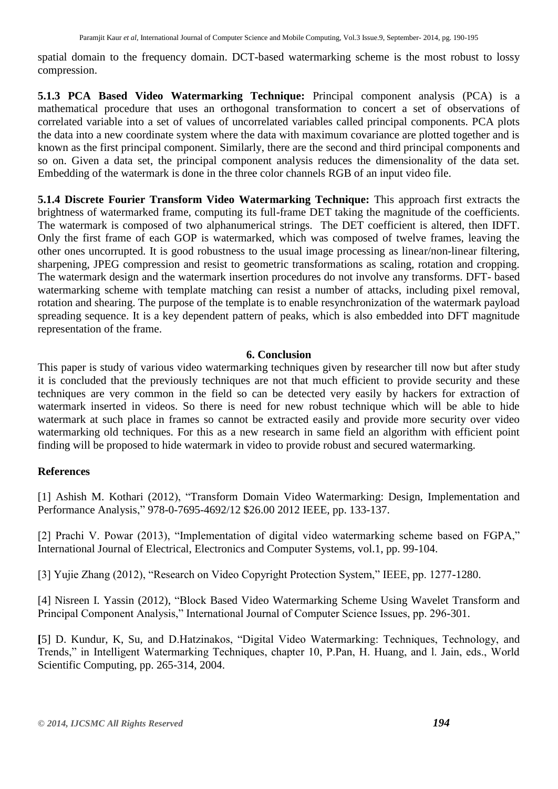spatial domain to the frequency domain. DCT-based watermarking scheme is the most robust to lossy compression.

**5.1.3 PCA Based Video Watermarking Technique:** Principal component analysis (PCA) is a mathematical procedure that uses an orthogonal transformation to concert a set of observations of correlated variable into a set of values of uncorrelated variables called principal components. PCA plots the data into a new coordinate system where the data with maximum covariance are plotted together and is known as the first principal component. Similarly, there are the second and third principal components and so on. Given a data set, the principal component analysis reduces the dimensionality of the data set. Embedding of the watermark is done in the three color channels RGB of an input video file.

**5.1.4 Discrete Fourier Transform Video Watermarking Technique:** This approach first extracts the brightness of watermarked frame, computing its full-frame DET taking the magnitude of the coefficients. The watermark is composed of two alphanumerical strings. The DET coefficient is altered, then IDFT. Only the first frame of each GOP is watermarked, which was composed of twelve frames, leaving the other ones uncorrupted. It is good robustness to the usual image processing as linear/non-linear filtering, sharpening, JPEG compression and resist to geometric transformations as scaling, rotation and cropping. The watermark design and the watermark insertion procedures do not involve any transforms. DFT- based watermarking scheme with template matching can resist a number of attacks, including pixel removal, rotation and shearing. The purpose of the template is to enable resynchronization of the watermark payload spreading sequence. It is a key dependent pattern of peaks, which is also embedded into DFT magnitude representation of the frame.

# **6. Conclusion**

This paper is study of various video watermarking techniques given by researcher till now but after study it is concluded that the previously techniques are not that much efficient to provide security and these techniques are very common in the field so can be detected very easily by hackers for extraction of watermark inserted in videos. So there is need for new robust technique which will be able to hide watermark at such place in frames so cannot be extracted easily and provide more security over video watermarking old techniques. For this as a new research in same field an algorithm with efficient point finding will be proposed to hide watermark in video to provide robust and secured watermarking.

# **References**

[1] Ashish M. Kothari (2012), "Transform Domain Video Watermarking: Design, Implementation and Performance Analysis," 978-0-7695-4692/12 \$26.00 2012 IEEE, pp. 133-137.

[2] Prachi V. Powar (2013), "Implementation of digital video watermarking scheme based on FGPA," International Journal of Electrical, Electronics and Computer Systems, vol.1, pp. 99-104.

[3] Yujie Zhang (2012), "Research on Video Copyright Protection System," IEEE, pp. 1277-1280.

[4] Nisreen I. Yassin (2012), "Block Based Video Watermarking Scheme Using Wavelet Transform and Principal Component Analysis," International Journal of Computer Science Issues, pp. 296-301.

**[**5] D. Kundur, K, Su, and D.Hatzinakos, "Digital Video Watermarking: Techniques, Technology, and Trends," in Intelligent Watermarking Techniques, chapter 10, P.Pan, H. Huang, and l. Jain, eds., World Scientific Computing, pp. 265-314, 2004.